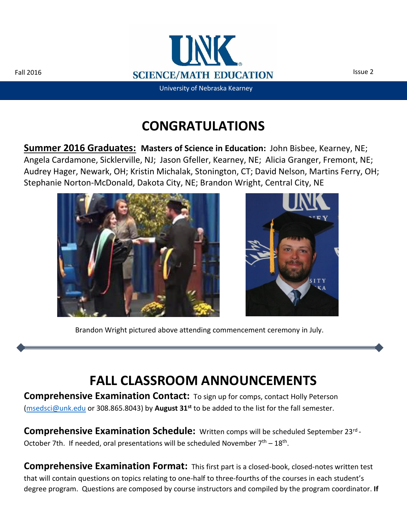Ì



University of Nebraska Kearney

# **CONGRATULATIONS**

**Summer 2016 Graduates: Masters of Science in Education:** John Bisbee, Kearney, NE; Angela Cardamone, Sicklerville, NJ; Jason Gfeller, Kearney, NE; Alicia Granger, Fremont, NE; Audrey Hager, Newark, OH; Kristin Michalak, Stonington, CT; David Nelson, Martins Ferry, OH; Stephanie Norton-McDonald, Dakota City, NE; Brandon Wright, Central City, NE





Brandon Wright pictured above attending commencement ceremony in July.

# **FALL CLASSROOM ANNOUNCEMENTS**

**Comprehensive Examination Contact:** To sign up for comps, contact Holly Peterson [\(msedsci@unk.edu](mailto:msedsci@unk.edu) or 308.865.8043) by **August 31st** to be added to the list for the fall semester.

**Comprehensive Examination Schedule:** Written comps will be scheduled September 23rd - October 7th. If needed, oral presentations will be scheduled November  $7<sup>th</sup> - 18<sup>th</sup>$ .

**Comprehensive Examination Format:** This first part is a closed-book, closed-notes written test that will contain questions on topics relating to one-half to three-fourths of the courses in each student's degree program. Questions are composed by course instructors and compiled by the program coordinator. **If**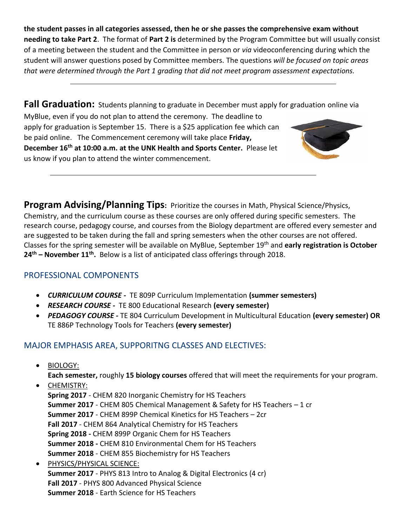**the student passes in all categories assessed, then he or she passes the comprehensive exam without needing to take Part 2**. The format of **Part 2 is** determined by the Program Committee but will usually consist of a meeting between the student and the Committee in person or *via* videoconferencing during which the student will answer questions posed by Committee members. The questions *will be focused on topic areas that were determined through the Part 1 grading that did not meet program assessment expectations.*

**Fall Graduation:** Students planning to graduate in December must apply for graduation online via MyBlue, even if you do not plan to attend the ceremony. The deadline to apply for graduation is September 15. There is a \$25 application fee which can be paid online. The Commencement ceremony will take place **Friday, December 16th at 10:00 a.m. at the UNK Health and Sports Center.** Please let us know if you plan to attend the winter commencement.

**Program Advising/Planning Tips:** Prioritize the courses in Math, Physical Science/Physics, Chemistry, and the curriculum course as these courses are only offered during specific semesters. The research course, pedagogy course, and courses from the Biology department are offered every semester and are suggested to be taken during the fall and spring semesters when the other courses are not offered. Classes for the spring semester will be available on MyBlue, September 19th and **early registration is October 24th – November 11th .** Below is a list of anticipated class offerings through 2018.

#### PROFESSIONAL COMPONENTS

- *CURRICULUM COURSE -* TE 809P Curriculum Implementation **(summer semesters)**
- *RESEARCH COURSE -* TE 800 Educational Research **(every semester)**
- *PEDAGOGY COURSE -* TE 804 Curriculum Development in Multicultural Education **(every semester) OR** TE 886P Technology Tools for Teachers **(every semester)**

### MAJOR EMPHASIS AREA, SUPPORITNG CLASSES AND ELECTIVES:

BIOLOGY:

**Each semester,** roughly **15 biology courses** offered that will meet the requirements for your program.

CHEMISTRY:

**Spring 2017** - CHEM 820 Inorganic Chemistry for HS Teachers **Summer 2017** - CHEM 805 Chemical Management & Safety for HS Teachers – 1 cr **Summer 2017** - CHEM 899P Chemical Kinetics for HS Teachers – 2cr **Fall 2017** - CHEM 864 Analytical Chemistry for HS Teachers **Spring 2018 -** CHEM 899P Organic Chem for HS Teachers **Summer 2018 -** CHEM 810 Environmental Chem for HS Teachers **Summer 2018** - CHEM 855 Biochemistry for HS Teachers

 PHYSICS/PHYSICAL SCIENCE: **Summer 2017** - PHYS 813 Intro to Analog & Digital Electronics (4 cr) **Fall 2017** - PHYS 800 Advanced Physical Science **Summer 2018** - Earth Science for HS Teachers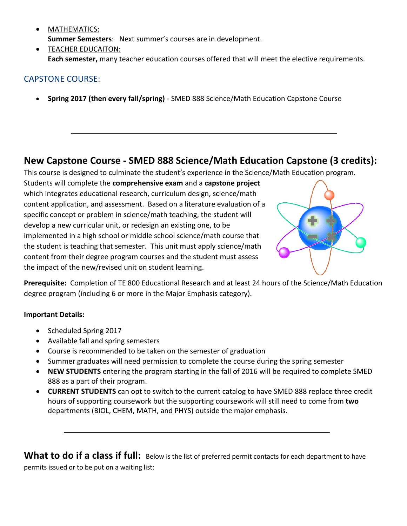- MATHEMATICS: **Summer Semesters**: Next summer's courses are in development.
- **TEACHER EDUCAITON: Each semester,** many teacher education courses offered that will meet the elective requirements.

### CAPSTONE COURSE:

**Spring 2017 (then every fall/spring)** - SMED 888 Science/Math Education Capstone Course

### **New Capstone Course - SMED 888 Science/Math Education Capstone (3 credits):**

This course is designed to culminate the student's experience in the Science/Math Education program.

Students will complete the **comprehensive exam** and a **capstone project** which integrates educational research, curriculum design, science/math content application, and assessment. Based on a literature evaluation of a specific concept or problem in science/math teaching, the student will develop a new curricular unit, or redesign an existing one, to be implemented in a high school or middle school science/math course that the student is teaching that semester. This unit must apply science/math content from their degree program courses and the student must assess the impact of the new/revised unit on student learning.



**Prerequisite:** Completion of TE 800 Educational Research and at least 24 hours of the Science/Math Education degree program (including 6 or more in the Major Emphasis category).

#### **Important Details:**

- Scheduled Spring 2017
- Available fall and spring semesters
- Course is recommended to be taken on the semester of graduation
- Summer graduates will need permission to complete the course during the spring semester
- **NEW STUDENTS** entering the program starting in the fall of 2016 will be required to complete SMED 888 as a part of their program.
- **CURRENT STUDENTS** can opt to switch to the current catalog to have SMED 888 replace three credit hours of supporting coursework but the supporting coursework will still need to come from **two** departments (BIOL, CHEM, MATH, and PHYS) outside the major emphasis.

What to do if a class if full: Below is the list of preferred permit contacts for each department to have permits issued or to be put on a waiting list: